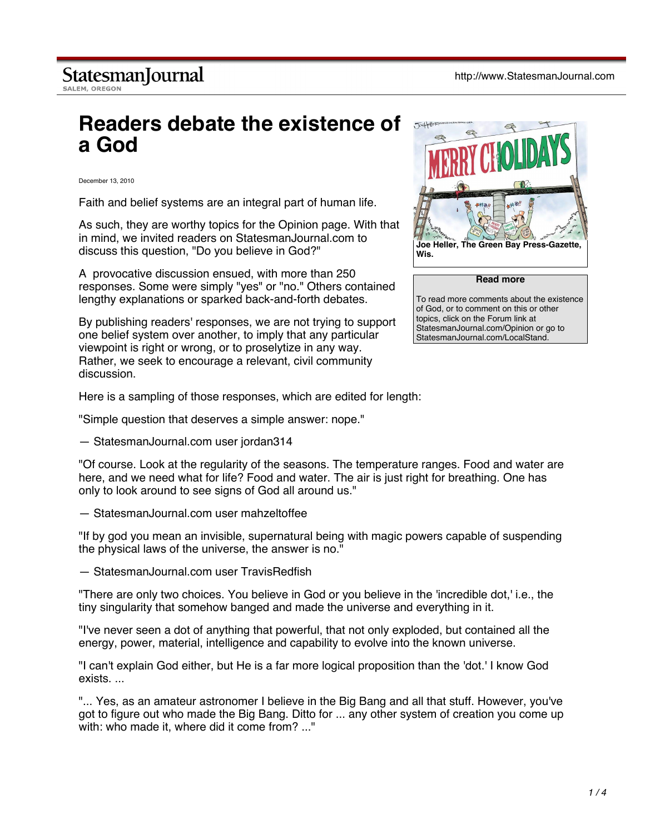## **Readers debate the existence of a God**

December 13, 2010

Faith and belief systems are an integral part of human life.

As such, they are worthy topics for the Opinion page. With that in mind, we invited readers on StatesmanJournal.com to discuss this question, "Do you believe in God?"

A provocative discussion ensued, with more than 250 responses. Some were simply "yes" or "no." Others contained lengthy explanations or sparked back-and-forth debates.

By publishing readers' responses, we are not trying to support one belief system over another, to imply that any particular viewpoint is right or wrong, or to proselytize in any way. Rather, we seek to encourage a relevant, civil community discussion.



**Read more**

To read more comments about the existence of God, or to comment on this or other topics, click on the Forum link at StatesmanJournal.com/Opinion or go to StatesmanJournal.com/LocalStand.

Here is a sampling of those responses, which are edited for length:

"Simple question that deserves a simple answer: nope."

— StatesmanJournal.com user jordan314

"Of course. Look at the regularity of the seasons. The temperature ranges. Food and water are here, and we need what for life? Food and water. The air is just right for breathing. One has only to look around to see signs of God all around us."

— StatesmanJournal.com user mahzeltoffee

"If by god you mean an invisible, supernatural being with magic powers capable of suspending the physical laws of the universe, the answer is no."

— StatesmanJournal.com user TravisRedfish

"There are only two choices. You believe in God or you believe in the 'incredible dot,' i.e., the tiny singularity that somehow banged and made the universe and everything in it.

"I've never seen a dot of anything that powerful, that not only exploded, but contained all the energy, power, material, intelligence and capability to evolve into the known universe.

"I can't explain God either, but He is a far more logical proposition than the 'dot.' I know God exists. ...

"... Yes, as an amateur astronomer I believe in the Big Bang and all that stuff. However, you've got to figure out who made the Big Bang. Ditto for ... any other system of creation you come up with: who made it, where did it come from? ..."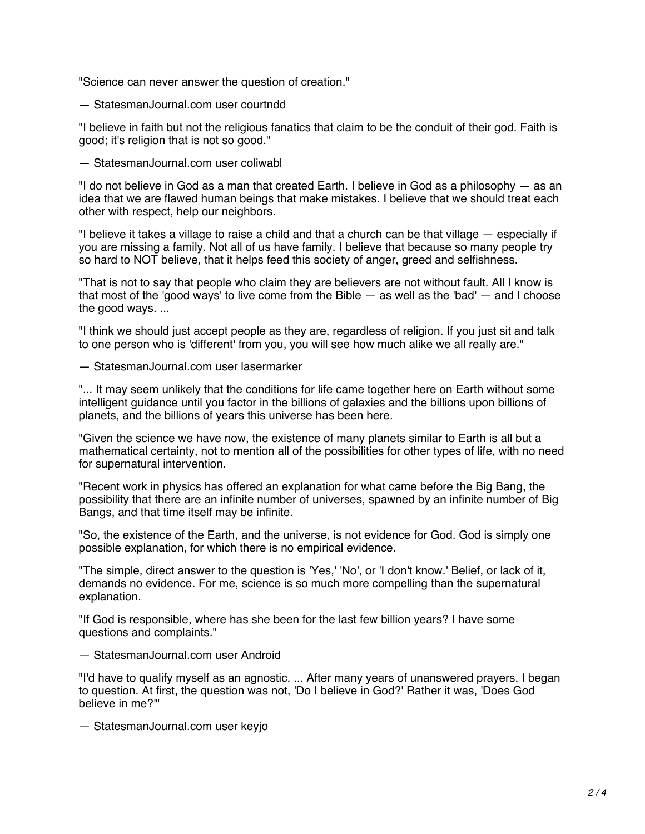"Science can never answer the question of creation."

— StatesmanJournal.com user courtndd

"I believe in faith but not the religious fanatics that claim to be the conduit of their god. Faith is good; it's religion that is not so good."

— StatesmanJournal.com user coliwabl

"I do not believe in God as a man that created Earth. I believe in God as a philosophy — as an idea that we are flawed human beings that make mistakes. I believe that we should treat each other with respect, help our neighbors.

"I believe it takes a village to raise a child and that a church can be that village — especially if you are missing a family. Not all of us have family. I believe that because so many people try so hard to NOT believe, that it helps feed this society of anger, greed and selfishness.

"That is not to say that people who claim they are believers are not without fault. All I know is that most of the 'good ways' to live come from the Bible  $-$  as well as the 'bad'  $-$  and I choose the good ways. ...

"I think we should just accept people as they are, regardless of religion. If you just sit and talk to one person who is 'different' from you, you will see how much alike we all really are."

— StatesmanJournal.com user lasermarker

"... It may seem unlikely that the conditions for life came together here on Earth without some intelligent guidance until you factor in the billions of galaxies and the billions upon billions of planets, and the billions of years this universe has been here.

"Given the science we have now, the existence of many planets similar to Earth is all but a mathematical certainty, not to mention all of the possibilities for other types of life, with no need for supernatural intervention.

"Recent work in physics has offered an explanation for what came before the Big Bang, the possibility that there are an infinite number of universes, spawned by an infinite number of Big Bangs, and that time itself may be infinite.

"So, the existence of the Earth, and the universe, is not evidence for God. God is simply one possible explanation, for which there is no empirical evidence.

"The simple, direct answer to the question is 'Yes,' 'No', or 'I don't know.' Belief, or lack of it, demands no evidence. For me, science is so much more compelling than the supernatural explanation.

"If God is responsible, where has she been for the last few billion years? I have some questions and complaints."

— StatesmanJournal.com user Android

"I'd have to qualify myself as an agnostic. ... After many years of unanswered prayers, I began to question. At first, the question was not, 'Do I believe in God?' Rather it was, 'Does God believe in me?'"

— StatesmanJournal.com user keyjo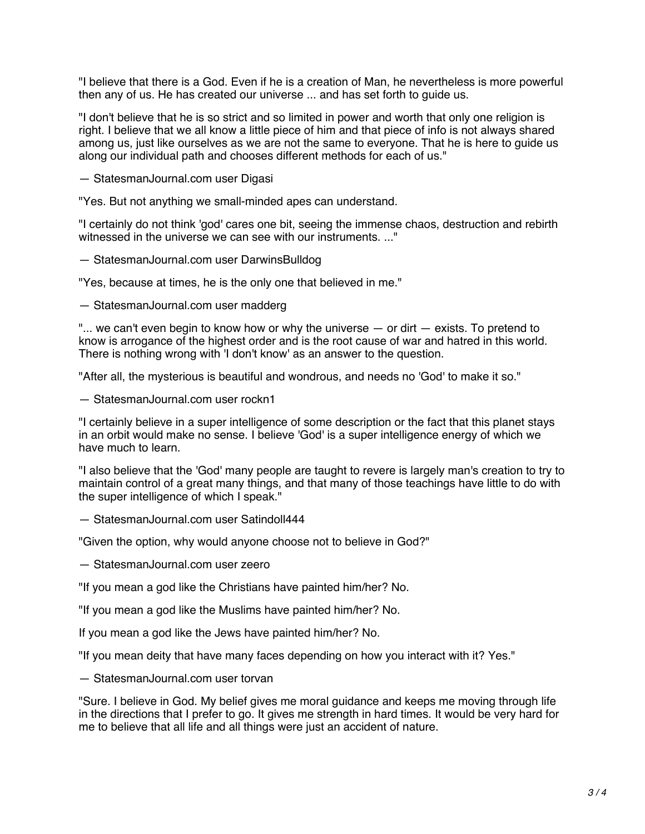"I believe that there is a God. Even if he is a creation of Man, he nevertheless is more powerful then any of us. He has created our universe ... and has set forth to guide us.

"I don't believe that he is so strict and so limited in power and worth that only one religion is right. I believe that we all know a little piece of him and that piece of info is not always shared among us, just like ourselves as we are not the same to everyone. That he is here to guide us along our individual path and chooses different methods for each of us."

— StatesmanJournal.com user Digasi

"Yes. But not anything we small-minded apes can understand.

"I certainly do not think 'god' cares one bit, seeing the immense chaos, destruction and rebirth witnessed in the universe we can see with our instruments. ..."

— StatesmanJournal.com user DarwinsBulldog

"Yes, because at times, he is the only one that believed in me."

— StatesmanJournal.com user madderg

"... we can't even begin to know how or why the universe  $-$  or dirt  $-$  exists. To pretend to know is arrogance of the highest order and is the root cause of war and hatred in this world. There is nothing wrong with 'I don't know' as an answer to the question.

"After all, the mysterious is beautiful and wondrous, and needs no 'God' to make it so."

— StatesmanJournal.com user rockn1

"I certainly believe in a super intelligence of some description or the fact that this planet stays in an orbit would make no sense. I believe 'God' is a super intelligence energy of which we have much to learn.

"I also believe that the 'God' many people are taught to revere is largely man's creation to try to maintain control of a great many things, and that many of those teachings have little to do with the super intelligence of which I speak."

— StatesmanJournal.com user Satindoll444

"Given the option, why would anyone choose not to believe in God?"

— StatesmanJournal.com user zeero

"If you mean a god like the Christians have painted him/her? No.

"If you mean a god like the Muslims have painted him/her? No.

If you mean a god like the Jews have painted him/her? No.

"If you mean deity that have many faces depending on how you interact with it? Yes."

— StatesmanJournal.com user torvan

"Sure. I believe in God. My belief gives me moral guidance and keeps me moving through life in the directions that I prefer to go. It gives me strength in hard times. It would be very hard for me to believe that all life and all things were just an accident of nature.